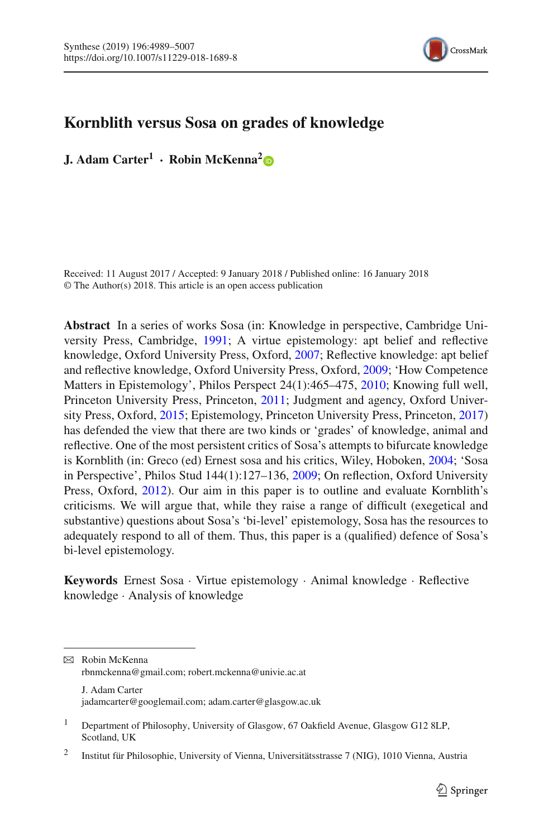

# **Kornblith versus Sosa on grades of knowledge**

**J. Adam Carter<sup>1</sup> · Robin McKenna[2](http://orcid.org/0000-0001-5129-7850)**

Received: 11 August 2017 / Accepted: 9 January 2018 / Published online: 16 January 2018 © The Author(s) 2018. This article is an open access publication

**Abstract** In a series of works Sosa (in: Knowledge in perspective, Cambridge University Press, Cambridge, [1991;](#page-17-0) A virtue epistemology: apt belief and reflective knowledge, Oxford University Press, Oxford, [2007;](#page-17-1) Reflective knowledge: apt belief and reflective knowledge, Oxford University Press, Oxford, [2009;](#page-17-2) 'How Competence Matters in Epistemology', Philos Perspect 24(1):465–475, [2010;](#page-17-3) Knowing full well, Princeton University Press, Princeton, [2011;](#page-17-4) Judgment and agency, Oxford University Press, Oxford, [2015;](#page-17-5) Epistemology, Princeton University Press, Princeton, [2017\)](#page-17-6) has defended the view that there are two kinds or 'grades' of knowledge, animal and reflective. One of the most persistent critics of Sosa's attempts to bifurcate knowledge is Kornblith (in: Greco (ed) Ernest sosa and his critics, Wiley, Hoboken, [2004;](#page-17-7) 'Sosa in Perspective', Philos Stud 144(1):127–136, [2009;](#page-17-8) On reflection, Oxford University Press, Oxford, [2012\)](#page-17-9). Our aim in this paper is to outline and evaluate Kornblith's criticisms. We will argue that, while they raise a range of difficult (exegetical and substantive) questions about Sosa's 'bi-level' epistemology, Sosa has the resources to adequately respond to all of them. Thus, this paper is a (qualified) defence of Sosa's bi-level epistemology.

**Keywords** Ernest Sosa · Virtue epistemology · Animal knowledge · Reflective knowledge · Analysis of knowledge

 $⊠$  Robin McKenna rbnmckenna@gmail.com; robert.mckenna@univie.ac.at J. Adam Carter jadamcarter@googlemail.com; adam.carter@glasgow.ac.uk

<sup>1</sup> Department of Philosophy, University of Glasgow, 67 Oakfield Avenue, Glasgow G12 8LP, Scotland, UK

<sup>2</sup> Institut für Philosophie, University of Vienna, Universitätsstrasse 7 (NIG), 1010 Vienna, Austria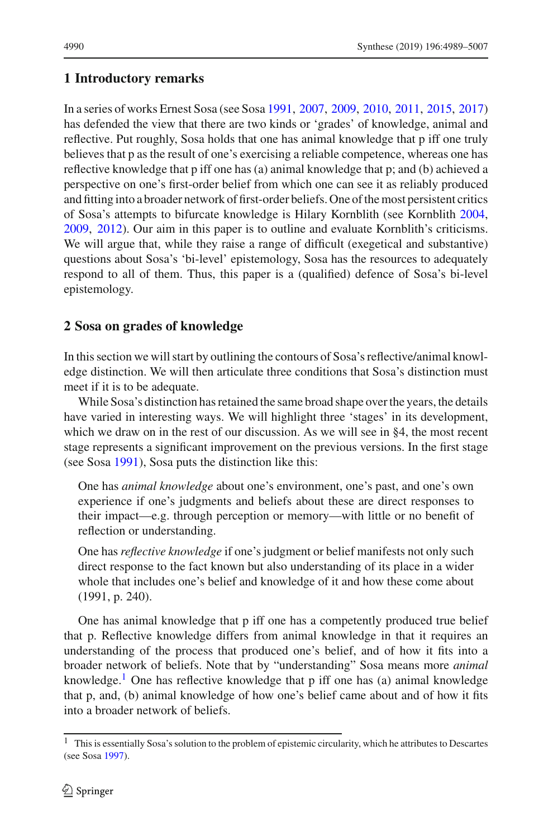## **1 Introductory remarks**

In a series of works Ernest Sosa (see Sos[a](#page-17-0) [1991,](#page-17-0) [2007,](#page-17-1) [2009](#page-17-2), [2010,](#page-17-3) [2011](#page-17-4), [2015](#page-17-5), [2017\)](#page-17-6) has defended the view that there are two kinds or 'grades' of knowledge, animal and reflective. Put roughly, Sosa holds that one has animal knowledge that p iff one truly believes that p as the result of one's exercising a reliable competence, whereas one has reflective knowledge that p iff one has (a) animal knowledge that p; and (b) achieved a perspective on one's first-order belief from which one can see it as reliably produced and fitting into a broader network of first-order beliefs. One of the most persistent critics of Sosa's attempts to bifurcate knowledge is Hilary Kornblith (see Kornblit[h](#page-17-7) [2004,](#page-17-7) [2009,](#page-17-8) [2012](#page-17-9)). Our aim in this paper is to outline and evaluate Kornblith's criticisms. We will argue that, while they raise a range of difficult (exegetical and substantive) questions about Sosa's 'bi-level' epistemology, Sosa has the resources to adequately respond to all of them. Thus, this paper is a (qualified) defence of Sosa's bi-level epistemology.

## **2 Sosa on grades of knowledge**

In this section we will start by outlining the contours of Sosa's reflective/animal knowledge distinction. We will then articulate three conditions that Sosa's distinction must meet if it is to be adequate.

While Sosa's distinction has retained the same broad shape over the years, the details have varied in interesting ways. We will highlight three 'stages' in its development, which we draw on in the rest of our discussion. As we will see in §4, the most recent stage represents a significant improvement on the previous versions. In the first stage (see Sos[a](#page-17-0) [1991](#page-17-0)), Sosa puts the distinction like this:

One has *animal knowledge* about one's environment, one's past, and one's own experience if one's judgments and beliefs about these are direct responses to their impact—e.g. through perception or memory—with little or no benefit of reflection or understanding.

One has *reflective knowledge* if one's judgment or belief manifests not only such direct response to the fact known but also understanding of its place in a wider whole that includes one's belief and knowledge of it and how these come about (1991, p. 240).

One has animal knowledge that p iff one has a competently produced true belief that p. Reflective knowledge differs from animal knowledge in that it requires an understanding of the process that produced one's belief, and of how it fits into a broader network of beliefs. Note that by "understanding" Sosa means more *animal* knowledge.<sup>[1](#page-1-0)</sup> One has reflective knowledge that p iff one has (a) animal knowledge that p, and, (b) animal knowledge of how one's belief came about and of how it fits into a broader network of beliefs.

<span id="page-1-0"></span><sup>&</sup>lt;sup>1</sup> This is essentially Sosa's solution to the problem of epistemic circularity, which he attributes to Descartes (see Sos[a](#page-17-10) [1997\)](#page-17-10).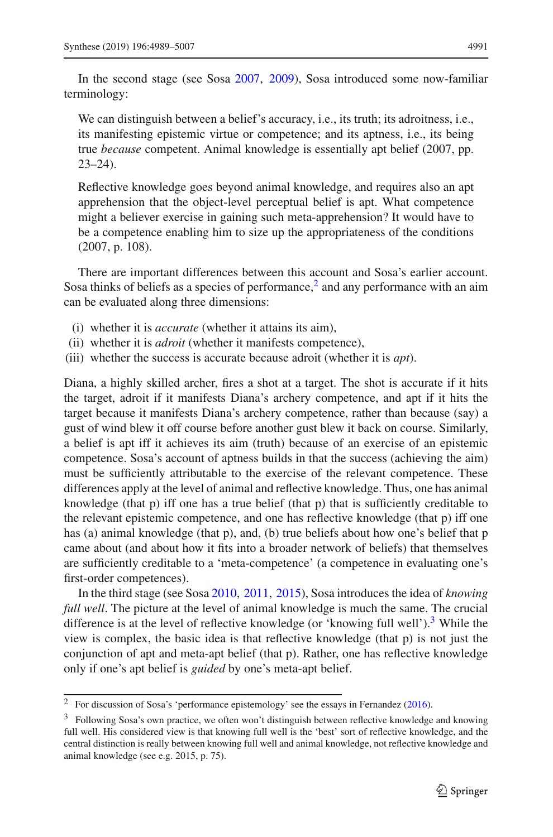In the second stage (see Sos[a](#page-17-1) [2007,](#page-17-1) [2009\)](#page-17-2), Sosa introduced some now-familiar terminology:

We can distinguish between a belief's accuracy, i.e., its truth; its adroitness, i.e., its manifesting epistemic virtue or competence; and its aptness, i.e., its being true *because* competent. Animal knowledge is essentially apt belief (2007, pp. 23–24).

Reflective knowledge goes beyond animal knowledge, and requires also an apt apprehension that the object-level perceptual belief is apt. What competence might a believer exercise in gaining such meta-apprehension? It would have to be a competence enabling him to size up the appropriateness of the conditions (2007, p. 108).

There are important differences between this account and Sosa's earlier account. Sosa thinks of beliefs as a species of performance,<sup>2</sup> and any performance with an aim can be evaluated along three dimensions:

- (i) whether it is *accurate* (whether it attains its aim),
- (ii) whether it is *adroit* (whether it manifests competence),
- (iii) whether the success is accurate because adroit (whether it is *apt*).

Diana, a highly skilled archer, fires a shot at a target. The shot is accurate if it hits the target, adroit if it manifests Diana's archery competence, and apt if it hits the target because it manifests Diana's archery competence, rather than because (say) a gust of wind blew it off course before another gust blew it back on course. Similarly, a belief is apt iff it achieves its aim (truth) because of an exercise of an epistemic competence. Sosa's account of aptness builds in that the success (achieving the aim) must be sufficiently attributable to the exercise of the relevant competence. These differences apply at the level of animal and reflective knowledge. Thus, one has animal knowledge (that p) iff one has a true belief (that p) that is sufficiently creditable to the relevant epistemic competence, and one has reflective knowledge (that p) iff one has (a) animal knowledge (that p), and, (b) true beliefs about how one's belief that p came about (and about how it fits into a broader network of beliefs) that themselves are sufficiently creditable to a 'meta-competence' (a competence in evaluating one's first-order competences).

In the third stage (see Sos[a](#page-17-3) [2010](#page-17-3), [2011,](#page-17-4) [2015](#page-17-5)), Sosa introduces the idea of *knowing full well*. The picture at the level of animal knowledge is much the same. The crucial difference is at the level of reflective knowledge (or 'knowing full well').<sup>[3](#page-2-1)</sup> While the view is complex, the basic idea is that reflective knowledge (that p) is not just the conjunction of apt and meta-apt belief (that p). Rather, one has reflective knowledge only if one's apt belief is *guided* by one's meta-apt belief.

<span id="page-2-0"></span><sup>2</sup> For discussion of Sosa's 'performance epistemology' see the essays in Fernande[z](#page-17-11) [\(2016\)](#page-17-11).

<span id="page-2-1"></span><sup>&</sup>lt;sup>3</sup> Following Sosa's own practice, we often won't distinguish between reflective knowledge and knowing full well. His considered view is that knowing full well is the 'best' sort of reflective knowledge, and the central distinction is really between knowing full well and animal knowledge, not reflective knowledge and animal knowledge (see e.g. 2015, p. 75).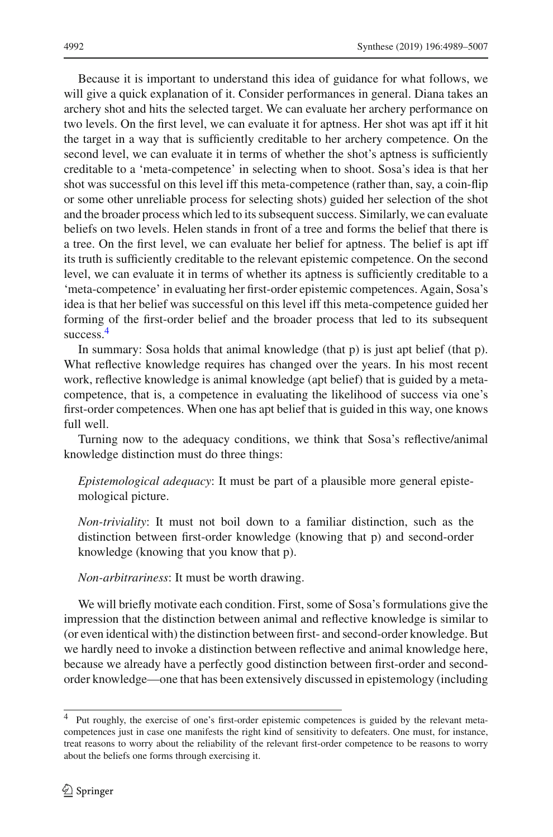Because it is important to understand this idea of guidance for what follows, we will give a quick explanation of it. Consider performances in general. Diana takes an archery shot and hits the selected target. We can evaluate her archery performance on two levels. On the first level, we can evaluate it for aptness. Her shot was apt iff it hit the target in a way that is sufficiently creditable to her archery competence. On the second level, we can evaluate it in terms of whether the shot's aptness is sufficiently creditable to a 'meta-competence' in selecting when to shoot. Sosa's idea is that her shot was successful on this level iff this meta-competence (rather than, say, a coin-flip or some other unreliable process for selecting shots) guided her selection of the shot and the broader process which led to its subsequent success. Similarly, we can evaluate beliefs on two levels. Helen stands in front of a tree and forms the belief that there is a tree. On the first level, we can evaluate her belief for aptness. The belief is apt iff its truth is sufficiently creditable to the relevant epistemic competence. On the second level, we can evaluate it in terms of whether its aptness is sufficiently creditable to a 'meta-competence' in evaluating her first-order epistemic competences. Again, Sosa's idea is that her belief was successful on this level iff this meta-competence guided her forming of the first-order belief and the broader process that led to its subsequent success[.4](#page-3-0)

In summary: Sosa holds that animal knowledge (that p) is just apt belief (that p). What reflective knowledge requires has changed over the years. In his most recent work, reflective knowledge is animal knowledge (apt belief) that is guided by a metacompetence, that is, a competence in evaluating the likelihood of success via one's first-order competences. When one has apt belief that is guided in this way, one knows full well.

Turning now to the adequacy conditions, we think that Sosa's reflective/animal knowledge distinction must do three things:

*Epistemological adequacy*: It must be part of a plausible more general epistemological picture.

*Non-triviality*: It must not boil down to a familiar distinction, such as the distinction between first-order knowledge (knowing that p) and second-order knowledge (knowing that you know that p).

*Non-arbitrariness*: It must be worth drawing.

We will briefly motivate each condition. First, some of Sosa's formulations give the impression that the distinction between animal and reflective knowledge is similar to (or even identical with) the distinction between first- and second-order knowledge. But we hardly need to invoke a distinction between reflective and animal knowledge here, because we already have a perfectly good distinction between first-order and secondorder knowledge—one that has been extensively discussed in epistemology (including

<span id="page-3-0"></span>Put roughly, the exercise of one's first-order epistemic competences is guided by the relevant metacompetences just in case one manifests the right kind of sensitivity to defeaters. One must, for instance, treat reasons to worry about the reliability of the relevant first-order competence to be reasons to worry about the beliefs one forms through exercising it.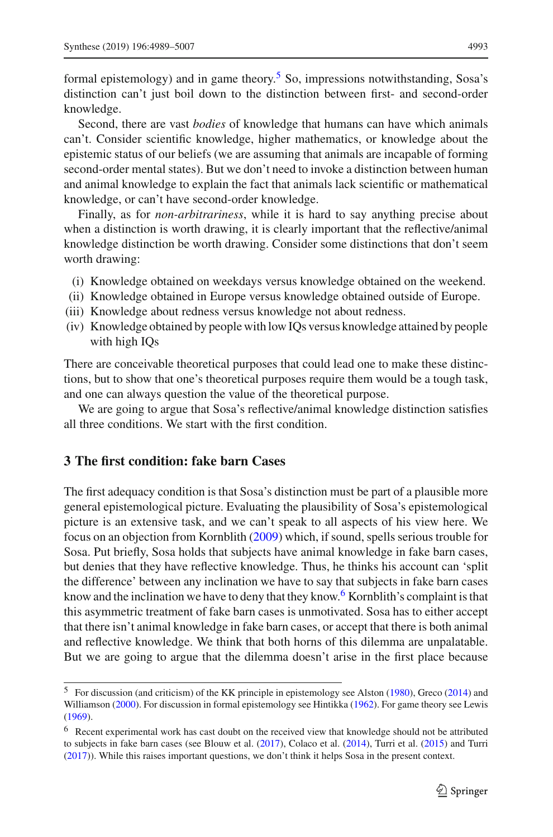formal epistemology) and in game theory.<sup>[5](#page-4-0)</sup> So, impressions notwithstanding, Sosa's distinction can't just boil down to the distinction between first- and second-order knowledge.

Second, there are vast *bodies* of knowledge that humans can have which animals can't. Consider scientific knowledge, higher mathematics, or knowledge about the epistemic status of our beliefs (we are assuming that animals are incapable of forming second-order mental states). But we don't need to invoke a distinction between human and animal knowledge to explain the fact that animals lack scientific or mathematical knowledge, or can't have second-order knowledge.

Finally, as for *non-arbitrariness*, while it is hard to say anything precise about when a distinction is worth drawing, it is clearly important that the reflective/animal knowledge distinction be worth drawing. Consider some distinctions that don't seem worth drawing:

- (i) Knowledge obtained on weekdays versus knowledge obtained on the weekend.
- (ii) Knowledge obtained in Europe versus knowledge obtained outside of Europe.
- (iii) Knowledge about redness versus knowledge not about redness.
- (iv) Knowledge obtained by people with low IQs versus knowledge attained by people with high IQs

There are conceivable theoretical purposes that could lead one to make these distinctions, but to show that one's theoretical purposes require them would be a tough task, and one can always question the value of the theoretical purpose.

We are going to argue that Sosa's reflective/animal knowledge distinction satisfies all three conditions. We start with the first condition.

### **3 The first condition: fake barn Cases**

The first adequacy condition is that Sosa's distinction must be part of a plausible more general epistemological picture. Evaluating the plausibility of Sosa's epistemological picture is an extensive task, and we can't speak to all aspects of his view here. We focus on an objection from Kornblit[h](#page-17-8) [\(2009](#page-17-8)) which, if sound, spells serious trouble for Sosa. Put briefly, Sosa holds that subjects have animal knowledge in fake barn cases, but denies that they have reflective knowledge. Thus, he thinks his account can 'split the difference' between any inclination we have to say that subjects in fake barn cases know and the inclination we have to deny that they know.<sup>[6](#page-4-1)</sup> Kornblith's complaint is that this asymmetric treatment of fake barn cases is unmotivated. Sosa has to either accept that there isn't animal knowledge in fake barn cases, or accept that there is both animal and reflective knowledge. We think that both horns of this dilemma are unpalatable. But we are going to argue that the dilemma doesn't arise in the first place because

<span id="page-4-0"></span> $5$  For discussio[n](#page-16-0) (and criticism) of the KK principle in epistemology see Alston [\(1980\)](#page-16-0), Grec[o](#page-17-12) [\(2014](#page-17-12)) and Williamso[n](#page-18-0) [\(2000\)](#page-18-0). For discussion in formal epistemology see Hintikk[a](#page-17-13) [\(1962](#page-17-13)). For game theory see Lewi[s](#page-17-14) [\(1969](#page-17-14)).

<span id="page-4-1"></span><sup>&</sup>lt;sup>6</sup> Recent experimental work has cast doubt on the received view that knowledge should not be attributed to subjects in fake barn cases (see Blouw et al[.](#page-16-1) [\(2017\)](#page-16-1), Colaco et al[.](#page-17-15) [\(2014](#page-17-15)), Turri et al[.](#page-18-1) [\(2015](#page-18-1)) and Turr[i](#page-17-16) [\(2017](#page-17-16))). While this raises important questions, we don't think it helps Sosa in the present context.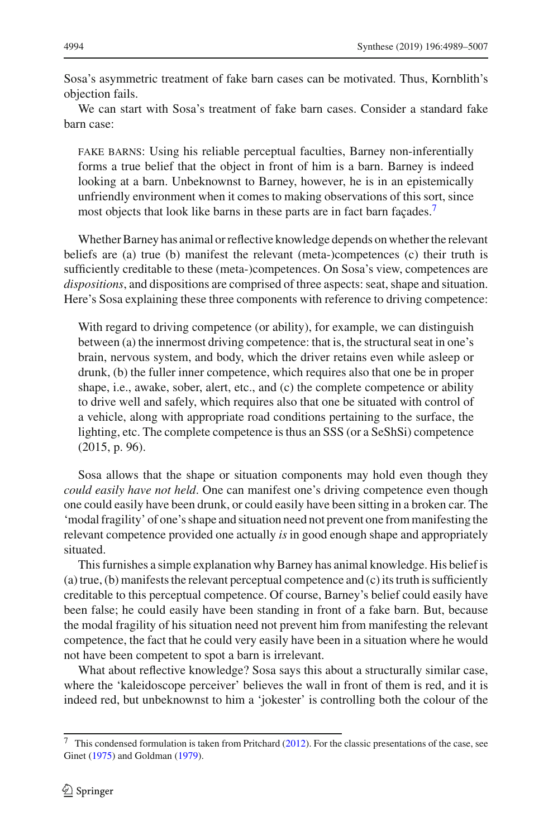Sosa's asymmetric treatment of fake barn cases can be motivated. Thus, Kornblith's objection fails.

We can start with Sosa's treatment of fake barn cases. Consider a standard fake barn case:

fake barns: Using his reliable perceptual faculties, Barney non-inferentially forms a true belief that the object in front of him is a barn. Barney is indeed looking at a barn. Unbeknownst to Barney, however, he is in an epistemically unfriendly environment when it comes to making observations of this sort, since most objects that look like barns in these parts are in fact barn façades.<sup>7</sup>

Whether Barney has animal or reflective knowledge depends on whether the relevant beliefs are (a) true (b) manifest the relevant (meta-)competences (c) their truth is sufficiently creditable to these (meta-)competences. On Sosa's view, competences are *dispositions*, and dispositions are comprised of three aspects: seat, shape and situation. Here's Sosa explaining these three components with reference to driving competence:

With regard to driving competence (or ability), for example, we can distinguish between (a) the innermost driving competence: that is, the structural seat in one's brain, nervous system, and body, which the driver retains even while asleep or drunk, (b) the fuller inner competence, which requires also that one be in proper shape, i.e., awake, sober, alert, etc., and (c) the complete competence or ability to drive well and safely, which requires also that one be situated with control of a vehicle, along with appropriate road conditions pertaining to the surface, the lighting, etc. The complete competence is thus an SSS (or a SeShSi) competence (2015, p. 96).

Sosa allows that the shape or situation components may hold even though they *could easily have not held*. One can manifest one's driving competence even though one could easily have been drunk, or could easily have been sitting in a broken car. The 'modal fragility' of one's shape and situation need not prevent one from manifesting the relevant competence provided one actually *is* in good enough shape and appropriately situated.

This furnishes a simple explanation why Barney has animal knowledge. His belief is (a) true, (b) manifests the relevant perceptual competence and  $(c)$  its truth is sufficiently creditable to this perceptual competence. Of course, Barney's belief could easily have been false; he could easily have been standing in front of a fake barn. But, because the modal fragility of his situation need not prevent him from manifesting the relevant competence, the fact that he could very easily have been in a situation where he would not have been competent to spot a barn is irrelevant.

What about reflective knowledge? Sosa says this about a structurally similar case, where the 'kaleidoscope perceiver' believes the wall in front of them is red, and it is indeed red, but unbeknownst to him a 'jokester' is controlling both the colour of the

<span id="page-5-0"></span> $7$  This con[d](#page-17-17)ensed formulation is taken from Pritchard [\(2012](#page-17-17)). For the classic presentations of the case, see Gine[t](#page-17-18) [\(1975](#page-17-18)) and Goldma[n](#page-17-19) [\(1979](#page-17-19)).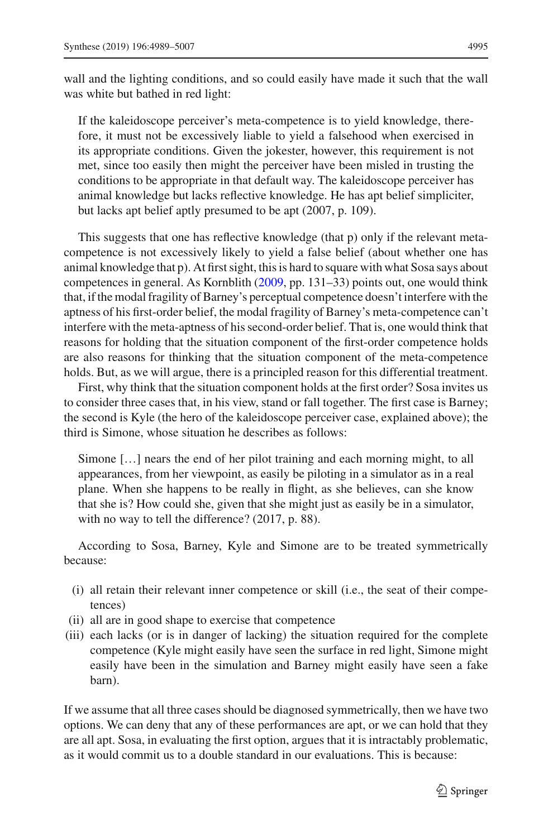wall and the lighting conditions, and so could easily have made it such that the wall was white but bathed in red light:

If the kaleidoscope perceiver's meta-competence is to yield knowledge, therefore, it must not be excessively liable to yield a falsehood when exercised in its appropriate conditions. Given the jokester, however, this requirement is not met, since too easily then might the perceiver have been misled in trusting the conditions to be appropriate in that default way. The kaleidoscope perceiver has animal knowledge but lacks reflective knowledge. He has apt belief simpliciter, but lacks apt belief aptly presumed to be apt (2007, p. 109).

This suggests that one has reflective knowledge (that p) only if the relevant metacompetence is not excessively likely to yield a false belief (about whether one has animal knowledge that p). At first sight, this is hard to square with what Sosa says about competences in general. As Kornblith [\(2009](#page-17-8), pp. 131–33) points out, one would think that, if the modal fragility of Barney's perceptual competence doesn't interfere with the aptness of his first-order belief, the modal fragility of Barney's meta-competence can't interfere with the meta-aptness of his second-order belief. That is, one would think that reasons for holding that the situation component of the first-order competence holds are also reasons for thinking that the situation component of the meta-competence holds. But, as we will argue, there is a principled reason for this differential treatment.

First, why think that the situation component holds at the first order? Sosa invites us to consider three cases that, in his view, stand or fall together. The first case is Barney; the second is Kyle (the hero of the kaleidoscope perceiver case, explained above); the third is Simone, whose situation he describes as follows:

Simone […] nears the end of her pilot training and each morning might, to all appearances, from her viewpoint, as easily be piloting in a simulator as in a real plane. When she happens to be really in flight, as she believes, can she know that she is? How could she, given that she might just as easily be in a simulator, with no way to tell the difference? (2017, p. 88).

According to Sosa, Barney, Kyle and Simone are to be treated symmetrically because:

- (i) all retain their relevant inner competence or skill (i.e., the seat of their competences)
- (ii) all are in good shape to exercise that competence
- (iii) each lacks (or is in danger of lacking) the situation required for the complete competence (Kyle might easily have seen the surface in red light, Simone might easily have been in the simulation and Barney might easily have seen a fake barn).

If we assume that all three cases should be diagnosed symmetrically, then we have two options. We can deny that any of these performances are apt, or we can hold that they are all apt. Sosa, in evaluating the first option, argues that it is intractably problematic, as it would commit us to a double standard in our evaluations. This is because: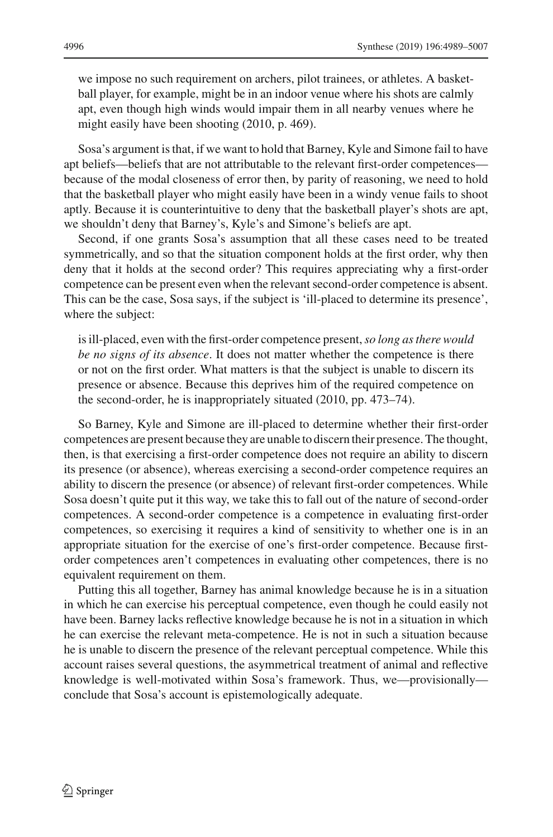we impose no such requirement on archers, pilot trainees, or athletes. A basketball player, for example, might be in an indoor venue where his shots are calmly apt, even though high winds would impair them in all nearby venues where he might easily have been shooting (2010, p. 469).

Sosa's argument is that, if we want to hold that Barney, Kyle and Simone fail to have apt beliefs—beliefs that are not attributable to the relevant first-order competences because of the modal closeness of error then, by parity of reasoning, we need to hold that the basketball player who might easily have been in a windy venue fails to shoot aptly. Because it is counterintuitive to deny that the basketball player's shots are apt, we shouldn't deny that Barney's, Kyle's and Simone's beliefs are apt.

Second, if one grants Sosa's assumption that all these cases need to be treated symmetrically, and so that the situation component holds at the first order, why then deny that it holds at the second order? This requires appreciating why a first-order competence can be present even when the relevant second-order competence is absent. This can be the case, Sosa says, if the subject is 'ill-placed to determine its presence', where the subject:

is ill-placed, even with the first-order competence present,*so long as there would be no signs of its absence*. It does not matter whether the competence is there or not on the first order. What matters is that the subject is unable to discern its presence or absence. Because this deprives him of the required competence on the second-order, he is inappropriately situated (2010, pp. 473–74).

So Barney, Kyle and Simone are ill-placed to determine whether their first-order competences are present because they are unable to discern their presence. The thought, then, is that exercising a first-order competence does not require an ability to discern its presence (or absence), whereas exercising a second-order competence requires an ability to discern the presence (or absence) of relevant first-order competences. While Sosa doesn't quite put it this way, we take this to fall out of the nature of second-order competences. A second-order competence is a competence in evaluating first-order competences, so exercising it requires a kind of sensitivity to whether one is in an appropriate situation for the exercise of one's first-order competence. Because firstorder competences aren't competences in evaluating other competences, there is no equivalent requirement on them.

Putting this all together, Barney has animal knowledge because he is in a situation in which he can exercise his perceptual competence, even though he could easily not have been. Barney lacks reflective knowledge because he is not in a situation in which he can exercise the relevant meta-competence. He is not in such a situation because he is unable to discern the presence of the relevant perceptual competence. While this account raises several questions, the asymmetrical treatment of animal and reflective knowledge is well-motivated within Sosa's framework. Thus, we—provisionally conclude that Sosa's account is epistemologically adequate.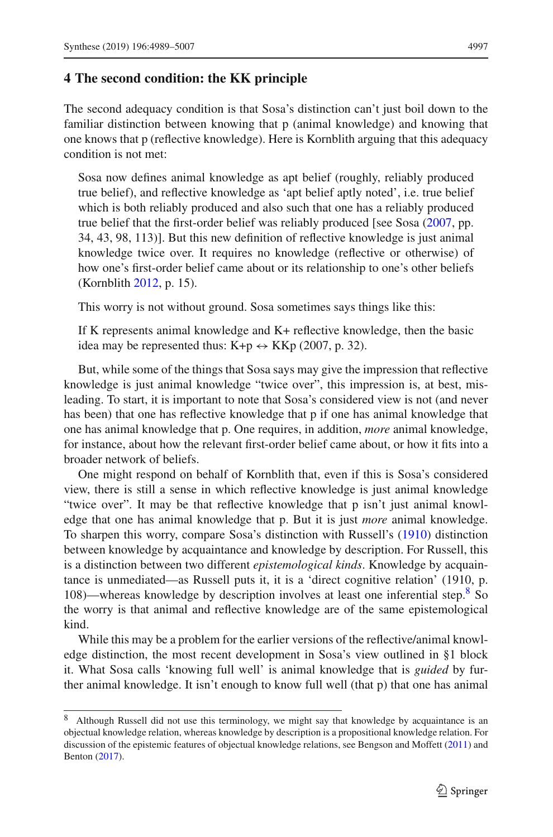## **4 The second condition: the KK principle**

The second adequacy condition is that Sosa's distinction can't just boil down to the familiar distinction between knowing that p (animal knowledge) and knowing that one knows that p (reflective knowledge). Here is Kornblith arguing that this adequacy condition is not met:

Sosa now defines animal knowledge as apt belief (roughly, reliably produced true belief), and reflective knowledge as 'apt belief aptly noted', i.e. true belief which is both reliably produced and also such that one has a reliably produced true belief that the first-order belief was reliably produced [see Sosa [\(2007](#page-17-1), pp. 34, 43, 98, 113)]. But this new definition of reflective knowledge is just animal knowledge twice over. It requires no knowledge (reflective or otherwise) of how one's first-order belief came about or its relationship to one's other beliefs (Kornblit[h](#page-17-9) [2012](#page-17-9), p. 15).

This worry is not without ground. Sosa sometimes says things like this:

If K represents animal knowledge and K+ reflective knowledge, then the basic idea may be represented thus:  $K+p \leftrightarrow KKp$  (2007, p. 32).

But, while some of the things that Sosa says may give the impression that reflective knowledge is just animal knowledge "twice over", this impression is, at best, misleading. To start, it is important to note that Sosa's considered view is not (and never has been) that one has reflective knowledge that p if one has animal knowledge that one has animal knowledge that p. One requires, in addition, *more* animal knowledge, for instance, about how the relevant first-order belief came about, or how it fits into a broader network of beliefs.

One might respond on behalf of Kornblith that, even if this is Sosa's considered view, there is still a sense in which reflective knowledge is just animal knowledge "twice over". It may be that reflective knowledge that p isn't just animal knowledge that one has animal knowledge that p. But it is just *more* animal knowledge. To sharpen this worry, compare Sosa's distinction with Russell's [\(1910](#page-17-20)) distinction between knowledge by acquaintance and knowledge by description. For Russell, this is a distinction between two different *epistemological kinds*. Knowledge by acquaintance is unmediated—as Russell puts it, it is a 'direct cognitive relation' (1910, p. 10[8](#page-8-0))—whereas knowledge by description involves at least one inferential step.<sup>8</sup> So the worry is that animal and reflective knowledge are of the same epistemological kind.

While this may be a problem for the earlier versions of the reflective/animal knowledge distinction, the most recent development in Sosa's view outlined in §1 block it. What Sosa calls 'knowing full well' is animal knowledge that is *guided* by further animal knowledge. It isn't enough to know full well (that p) that one has animal

<span id="page-8-0"></span><sup>&</sup>lt;sup>8</sup> Although Russell did not use this terminology, we might say that knowledge by acquaintance is an objectual knowledge relation, whereas knowledge by description is a propositional knowledge relation. For discussion of the epistemic features of objectual knowledge relations, see Bengson and Moffet[t](#page-16-2) [\(2011](#page-16-2)) and Bento[n](#page-16-3) [\(2017](#page-16-3)).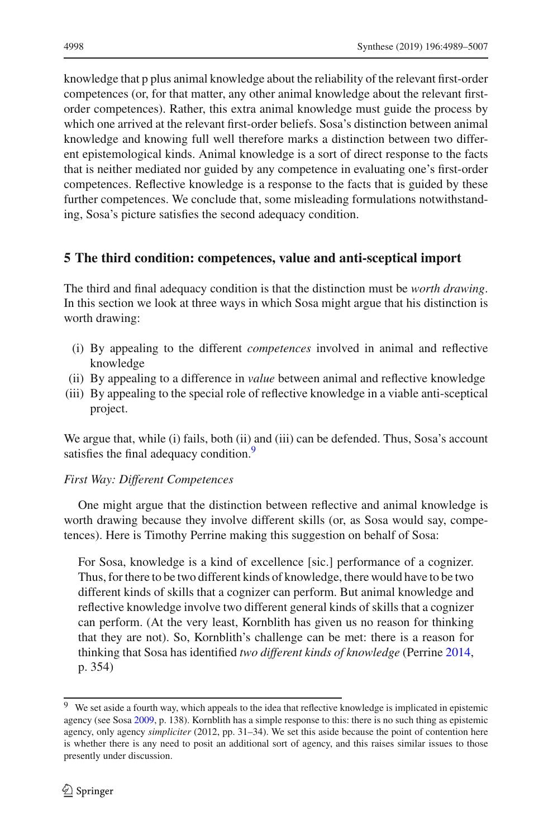knowledge that p plus animal knowledge about the reliability of the relevant first-order competences (or, for that matter, any other animal knowledge about the relevant firstorder competences). Rather, this extra animal knowledge must guide the process by which one arrived at the relevant first-order beliefs. Sosa's distinction between animal knowledge and knowing full well therefore marks a distinction between two different epistemological kinds. Animal knowledge is a sort of direct response to the facts that is neither mediated nor guided by any competence in evaluating one's first-order competences. Reflective knowledge is a response to the facts that is guided by these further competences. We conclude that, some misleading formulations notwithstanding, Sosa's picture satisfies the second adequacy condition.

### **5 The third condition: competences, value and anti-sceptical import**

The third and final adequacy condition is that the distinction must be *worth drawing*. In this section we look at three ways in which Sosa might argue that his distinction is worth drawing:

- (i) By appealing to the different *competences* involved in animal and reflective knowledge
- (ii) By appealing to a difference in *value* between animal and reflective knowledge
- (iii) By appealing to the special role of reflective knowledge in a viable anti-sceptical project.

We argue that, while (i) fails, both (ii) and (iii) can be defended. Thus, Sosa's account satisfies the final adequacy condition.<sup>9</sup>

### *First Way: Different Competences*

One might argue that the distinction between reflective and animal knowledge is worth drawing because they involve different skills (or, as Sosa would say, competences). Here is Timothy Perrine making this suggestion on behalf of Sosa:

For Sosa, knowledge is a kind of excellence [sic.] performance of a cognizer. Thus, for there to be two different kinds of knowledge, there would have to be two different kinds of skills that a cognizer can perform. But animal knowledge and reflective knowledge involve two different general kinds of skills that a cognizer can perform. (At the very least, Kornblith has given us no reason for thinking that they are not). So, Kornblith's challenge can be met: there is a reason for thinking that Sosa has identified *two different kinds of knowledge* (Perrin[e](#page-17-21) [2014](#page-17-21), p. 354)

<span id="page-9-0"></span><sup>&</sup>lt;sup>9</sup> We set aside a fourth way, which appeals to the idea that reflective knowledge is implicated in epistemic agency (see Sos[a](#page-17-2) [2009,](#page-17-2) p. 138). Kornblith has a simple response to this: there is no such thing as epistemic agency, only agency *simpliciter* (2012, pp. 31–34). We set this aside because the point of contention here is whether there is any need to posit an additional sort of agency, and this raises similar issues to those presently under discussion.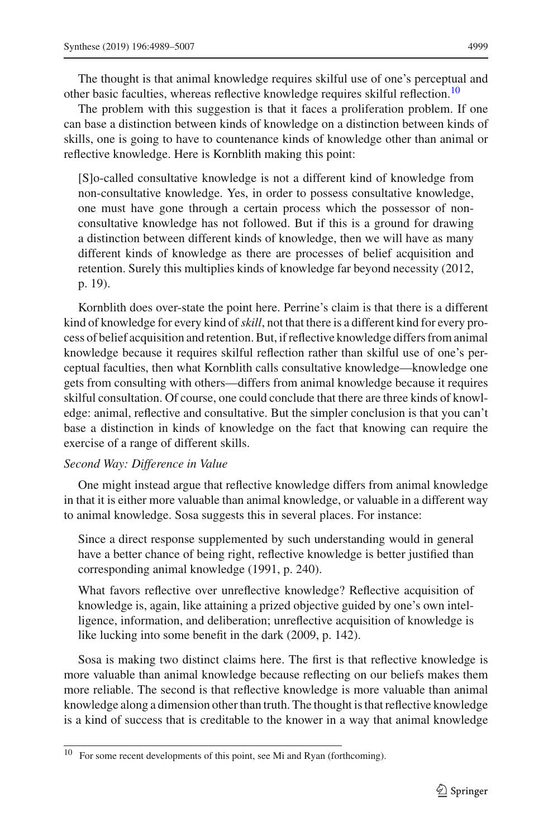The thought is that animal knowledge requires skilful use of one's perceptual and other basic faculties, whereas reflective knowledge requires skilful reflection.<sup>[10](#page-10-0)</sup>

The problem with this suggestion is that it faces a proliferation problem. If one can base a distinction between kinds of knowledge on a distinction between kinds of skills, one is going to have to countenance kinds of knowledge other than animal or reflective knowledge. Here is Kornblith making this point:

[S]o-called consultative knowledge is not a different kind of knowledge from non-consultative knowledge. Yes, in order to possess consultative knowledge, one must have gone through a certain process which the possessor of nonconsultative knowledge has not followed. But if this is a ground for drawing a distinction between different kinds of knowledge, then we will have as many different kinds of knowledge as there are processes of belief acquisition and retention. Surely this multiplies kinds of knowledge far beyond necessity (2012, p. 19).

Kornblith does over-state the point here. Perrine's claim is that there is a different kind of knowledge for every kind of*skill*, not that there is a different kind for every process of belief acquisition and retention. But, if reflective knowledge differs from animal knowledge because it requires skilful reflection rather than skilful use of one's perceptual faculties, then what Kornblith calls consultative knowledge—knowledge one gets from consulting with others—differs from animal knowledge because it requires skilful consultation. Of course, one could conclude that there are three kinds of knowledge: animal, reflective and consultative. But the simpler conclusion is that you can't base a distinction in kinds of knowledge on the fact that knowing can require the exercise of a range of different skills.

### *Second Way: Difference in Value*

One might instead argue that reflective knowledge differs from animal knowledge in that it is either more valuable than animal knowledge, or valuable in a different way to animal knowledge. Sosa suggests this in several places. For instance:

Since a direct response supplemented by such understanding would in general have a better chance of being right, reflective knowledge is better justified than corresponding animal knowledge (1991, p. 240).

What favors reflective over unreflective knowledge? Reflective acquisition of knowledge is, again, like attaining a prized objective guided by one's own intelligence, information, and deliberation; unreflective acquisition of knowledge is like lucking into some benefit in the dark (2009, p. 142).

Sosa is making two distinct claims here. The first is that reflective knowledge is more valuable than animal knowledge because reflecting on our beliefs makes them more reliable. The second is that reflective knowledge is more valuable than animal knowledge along a dimension other than truth. The thought is that reflective knowledge is a kind of success that is creditable to the knower in a way that animal knowledge

<span id="page-10-0"></span><sup>10</sup> For some recent developments of this point, see Mi and Ryan (forthcoming).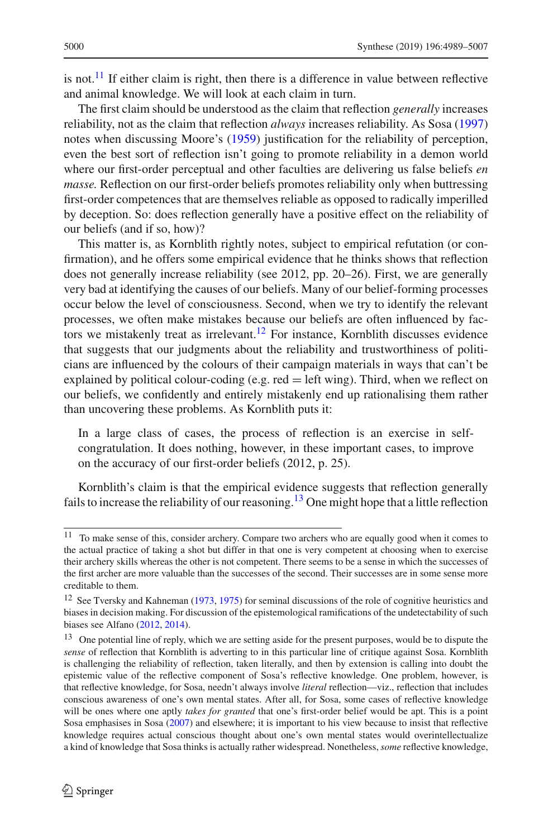is not.<sup>11</sup> If either claim is right, then there is a difference in value between reflective and animal knowledge. We will look at each claim in turn.

The first claim should be understood as the claim that reflection *generally* increases reliability, not as the claim that reflection *always* increases reliability. As Sos[a](#page-17-10) [\(1997\)](#page-17-10) notes when discussing Moore's [\(1959\)](#page-17-22) justification for the reliability of perception, even the best sort of reflection isn't going to promote reliability in a demon world where our first-order perceptual and other faculties are delivering us false beliefs *en masse.* Reflection on our first-order beliefs promotes reliability only when buttressing first-order competences that are themselves reliable as opposed to radically imperilled by deception. So: does reflection generally have a positive effect on the reliability of our beliefs (and if so, how)?

This matter is, as Kornblith rightly notes, subject to empirical refutation (or confirmation), and he offers some empirical evidence that he thinks shows that reflection does not generally increase reliability (see 2012, pp. 20–26). First, we are generally very bad at identifying the causes of our beliefs. Many of our belief-forming processes occur below the level of consciousness. Second, when we try to identify the relevant processes, we often make mistakes because our beliefs are often influenced by fac-tors we mistakenly treat as irrelevant.<sup>[12](#page-11-1)</sup> For instance, Kornblith discusses evidence that suggests that our judgments about the reliability and trustworthiness of politicians are influenced by the colours of their campaign materials in ways that can't be explained by political colour-coding (e.g. red  $=$  left wing). Third, when we reflect on our beliefs, we confidently and entirely mistakenly end up rationalising them rather than uncovering these problems. As Kornblith puts it:

In a large class of cases, the process of reflection is an exercise in selfcongratulation. It does nothing, however, in these important cases, to improve on the accuracy of our first-order beliefs (2012, p. 25).

Kornblith's claim is that the empirical evidence suggests that reflection generally fails to increase the reliability of our reasoning.<sup>[13](#page-11-2)</sup> One might hope that a little reflection

<span id="page-11-0"></span><sup>&</sup>lt;sup>11</sup> To make sense of this, consider archery. Compare two archers who are equally good when it comes to the actual practice of taking a shot but differ in that one is very competent at choosing when to exercise their archery skills whereas the other is not competent. There seems to be a sense in which the successes of the first archer are more valuable than the successes of the second. Their successes are in some sense more creditable to them.

<span id="page-11-1"></span><sup>&</sup>lt;sup>12</sup> See Tversky and Kahneman [\(1973](#page-18-2), [1975](#page-18-3)) for seminal discussions of the role of cognitive heuristics and biases in decision making. For discussion of the epistemological ramifications of the undetectability of such biases see Alfano [\(2012](#page-16-4), [2014\)](#page-16-5).

<span id="page-11-2"></span><sup>&</sup>lt;sup>13</sup> One potential line of reply, which we are setting aside for the present purposes, would be to dispute the *sense* of reflection that Kornblith is adverting to in this particular line of critique against Sosa. Kornblith is challenging the reliability of reflection, taken literally, and then by extension is calling into doubt the epistemic value of the reflective component of Sosa's reflective knowledge. One problem, however, is that reflective knowledge, for Sosa, needn't always involve *literal* reflection—viz., reflection that includes conscious awareness of one's own mental states. After all, for Sosa, some cases of reflective knowledge will be ones where one aptly *takes for granted* that one's first-order belief would be apt. This is a point Sosa emphasises in Sos[a](#page-17-1) [\(2007\)](#page-17-1) and elsewhere; it is important to his view because to insist that reflective knowledge requires actual conscious thought about one's own mental states would overintellectualize a kind of knowledge that Sosa thinks is actually rather widespread. Nonetheless,*some* reflective knowledge,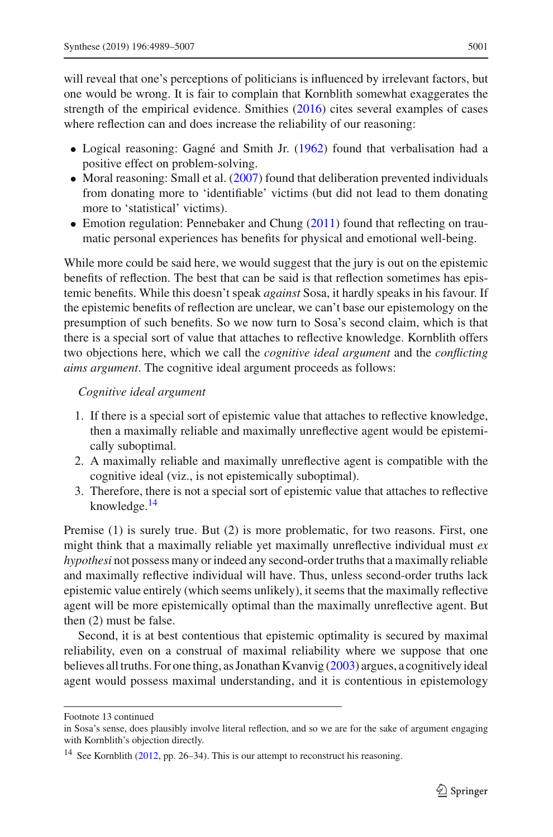will reveal that one's perceptions of politicians is influenced by irrelevant factors, but one would be wrong. It is fair to complain that Kornblith somewhat exaggerates the strength of the empirical evidence. Smithie[s](#page-17-23) [\(2016\)](#page-17-23) cites several examples of cases where reflection can and does increase the reliability of our reasoning:

- Logical reasoning: Gagné and Smith Jr. [\(1962](#page-17-24)) found that verbalisation had a positive effect on problem-solving.
- Moral reasoning: Small et al. [\(2007](#page-17-25)) found that deliberation prevented individuals from donating more to 'identifiable' victims (but did not lead to them donating more to 'statistical' victims).
- Emotion re[g](#page-17-26)ulation: Pennebaker and Chung [\(2011\)](#page-17-26) found that reflecting on traumatic personal experiences has benefits for physical and emotional well-being.

While more could be said here, we would suggest that the jury is out on the epistemic benefits of reflection. The best that can be said is that reflection sometimes has epistemic benefits. While this doesn't speak *against* Sosa, it hardly speaks in his favour. If the epistemic benefits of reflection are unclear, we can't base our epistemology on the presumption of such benefits. So we now turn to Sosa's second claim, which is that there is a special sort of value that attaches to reflective knowledge. Kornblith offers two objections here, which we call the *cognitive ideal argument* and the *conflicting aims argument*. The cognitive ideal argument proceeds as follows:

#### *Cognitive ideal argument*

- 1. If there is a special sort of epistemic value that attaches to reflective knowledge, then a maximally reliable and maximally unreflective agent would be epistemically suboptimal.
- 2. A maximally reliable and maximally unreflective agent is compatible with the cognitive ideal (viz., is not epistemically suboptimal).
- 3. Therefore, there is not a special sort of epistemic value that attaches to reflective knowledge.<sup>14</sup>

Premise (1) is surely true. But (2) is more problematic, for two reasons. First, one might think that a maximally reliable yet maximally unreflective individual must *ex hypothesi* not possess many or indeed any second-order truths that a maximally reliable and maximally reflective individual will have. Thus, unless second-order truths lack epistemic value entirely (which seems unlikely), it seems that the maximally reflective agent will be more epistemically optimal than the maximally unreflective agent. But then (2) must be false.

Second, it is at best contentious that epistemic optimality is secured by maximal reliability, even on a construal of maximal reliability where we suppose that one believes all truths. For one thing, as Jonathan Kvanvig [\(2003](#page-17-27)) argues, a cognitively ideal agent would possess maximal understanding, and it is contentious in epistemology

Footnote 13 continued

in Sosa's sense, does plausibly involve literal reflection, and so we are for the sake of argument engaging with Kornblith's objection directly.

<span id="page-12-0"></span><sup>&</sup>lt;sup>14</sup> See Kornblith [\(2012,](#page-17-9) pp. 26–34). This is our attempt to reconstruct his reasoning.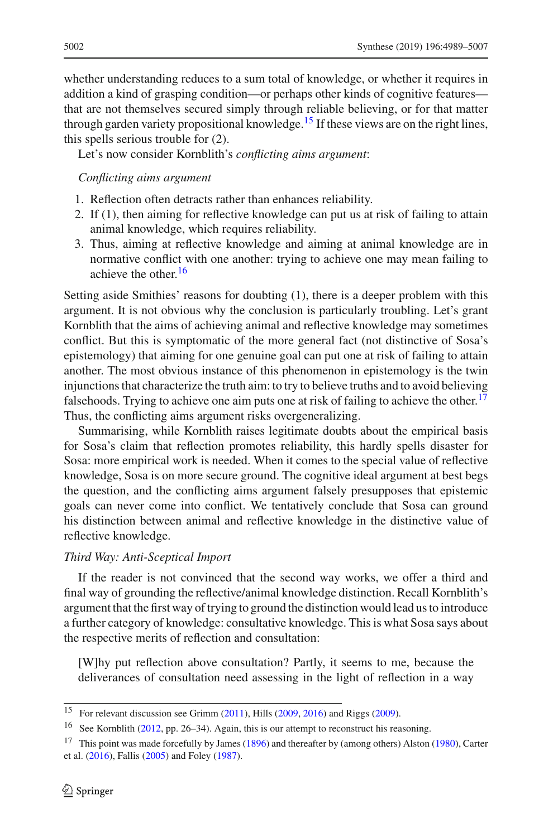whether understanding reduces to a sum total of knowledge, or whether it requires in addition a kind of grasping condition—or perhaps other kinds of cognitive features that are not themselves secured simply through reliable believing, or for that matter through garden variety propositional knowledge.<sup>[15](#page-13-0)</sup> If these views are on the right lines, this spells serious trouble for (2).

Let's now consider Kornblith's *conflicting aims argument*:

#### *Conflicting aims argument*

- 1. Reflection often detracts rather than enhances reliability.
- 2. If (1), then aiming for reflective knowledge can put us at risk of failing to attain animal knowledge, which requires reliability.
- 3. Thus, aiming at reflective knowledge and aiming at animal knowledge are in normative conflict with one another: trying to achieve one may mean failing to achieve the other.<sup>[16](#page-13-1)</sup>

Setting aside Smithies' reasons for doubting (1), there is a deeper problem with this argument. It is not obvious why the conclusion is particularly troubling. Let's grant Kornblith that the aims of achieving animal and reflective knowledge may sometimes conflict. But this is symptomatic of the more general fact (not distinctive of Sosa's epistemology) that aiming for one genuine goal can put one at risk of failing to attain another. The most obvious instance of this phenomenon in epistemology is the twin injunctions that characterize the truth aim: to try to believe truths and to avoid believing falsehoods. Trying to achieve one aim puts one at risk of failing to achieve the other.<sup>[17](#page-13-2)</sup> Thus, the conflicting aims argument risks overgeneralizing.

Summarising, while Kornblith raises legitimate doubts about the empirical basis for Sosa's claim that reflection promotes reliability, this hardly spells disaster for Sosa: more empirical work is needed. When it comes to the special value of reflective knowledge, Sosa is on more secure ground. The cognitive ideal argument at best begs the question, and the conflicting aims argument falsely presupposes that epistemic goals can never come into conflict. We tentatively conclude that Sosa can ground his distinction between animal and reflective knowledge in the distinctive value of reflective knowledge.

#### *Third Way: Anti-Sceptical Import*

If the reader is not convinced that the second way works, we offer a third and final way of grounding the reflective/animal knowledge distinction. Recall Kornblith's argument that the first way of trying to ground the distinction would lead us to introduce a further category of knowledge: consultative knowledge. This is what Sosa says about the respective merits of reflection and consultation:

[W]hy put reflection above consultation? Partly, it seems to me, because the deliverances of consultation need assessing in the light of reflection in a way

<span id="page-13-0"></span><sup>&</sup>lt;sup>15</sup> For relevant discussion see Gri[m](#page-17-28)m [\(2011](#page-17-28)), Hills [\(2009](#page-17-31), [2016\)](#page-17-30) and Rigg[s](#page-17-31) (2009).

<span id="page-13-1"></span><sup>16</sup> See Kornblith [\(2012,](#page-17-9) pp. 26–34). Again, this is our attempt to reconstruct his reasoning.

<span id="page-13-2"></span><sup>&</sup>lt;[s](#page-17-32)up>17</sup> This point was made forcefully by James [\(1896\)](#page-17-32) a[n](#page-16-0)d thereafter by (among others) Alston [\(1980\)](#page-16-0), Carter et al[.](#page-17-33) [\(2016\)](#page-17-33), Falli[s](#page-17-34) [\(2005\)](#page-17-34) and Fole[y](#page-17-35) [\(1987](#page-17-35)).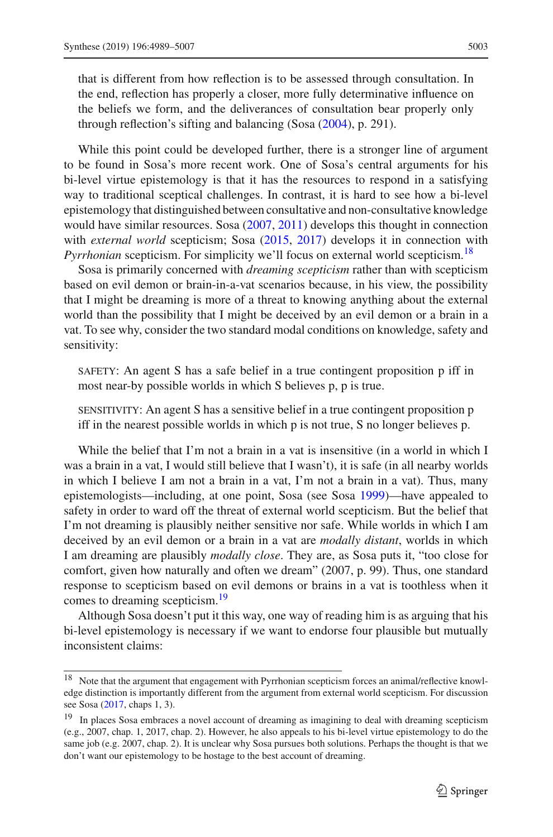that is different from how reflection is to be assessed through consultation. In the end, reflection has properly a closer, more fully determinative influence on the beliefs we form, and the deliverances of consultation bear properly only through reflection's sifting and balancing (Sos[a](#page-17-36) [\(2004](#page-17-36)), p. 291).

While this point could be developed further, there is a stronger line of argument to be found in Sosa's more recent work. One of Sosa's central arguments for his bi-level virtue epistemology is that it has the resources to respond in a satisfying way to traditional sceptical challenges. In contrast, it is hard to see how a bi-level epistemology that distinguished between consultative and non-consultative knowledge would have similar resources. Sosa [\(2007](#page-17-1), [2011](#page-17-4)) develops this thought in connection with *external world* scepticism; Sosa [\(2015,](#page-17-5) [2017](#page-17-6)) develops it in connection with *Pyrrhonian* scepticism. For simplicity we'll focus on external world scepticism.<sup>[18](#page-14-0)</sup>

Sosa is primarily concerned with *dreaming scepticism* rather than with scepticism based on evil demon or brain-in-a-vat scenarios because, in his view, the possibility that I might be dreaming is more of a threat to knowing anything about the external world than the possibility that I might be deceived by an evil demon or a brain in a vat. To see why, consider the two standard modal conditions on knowledge, safety and sensitivity:

safety: An agent S has a safe belief in a true contingent proposition p iff in most near-by possible worlds in which S believes p, p is true.

sensitivity: An agent S has a sensitive belief in a true contingent proposition p iff in the nearest possible worlds in which p is not true, S no longer believes p.

While the belief that I'm not a brain in a vat is insensitive (in a world in which I was a brain in a vat, I would still believe that I wasn't), it is safe (in all nearby worlds in which I believe I am not a brain in a vat, I'm not a brain in a vat). Thus, many epistemologists—including, at one point, Sosa (see Sos[a](#page-17-37) [1999\)](#page-17-37)—have appealed to safety in order to ward off the threat of external world scepticism. But the belief that I'm not dreaming is plausibly neither sensitive nor safe. While worlds in which I am deceived by an evil demon or a brain in a vat are *modally distant*, worlds in which I am dreaming are plausibly *modally close*. They are, as Sosa puts it, "too close for comfort, given how naturally and often we dream" (2007, p. 99). Thus, one standard response to scepticism based on evil demons or brains in a vat is toothless when it comes to dreaming scepticism.<sup>[19](#page-14-1)</sup>

Although Sosa doesn't put it this way, one way of reading him is as arguing that his bi-level epistemology is necessary if we want to endorse four plausible but mutually inconsistent claims:

<span id="page-14-0"></span><sup>18</sup> Note that the argument that engagement with Pyrrhonian scepticism forces an animal/reflective knowledge distinction is importantly different from the argument from external world scepticism. For discussion see Sosa [\(2017,](#page-17-6) chaps 1, 3).

<span id="page-14-1"></span><sup>&</sup>lt;sup>19</sup> In places Sosa embraces a novel account of dreaming as imagining to deal with dreaming scepticism (e.g., 2007, chap. 1, 2017, chap. 2). However, he also appeals to his bi-level virtue epistemology to do the same job (e.g. 2007, chap. 2). It is unclear why Sosa pursues both solutions. Perhaps the thought is that we don't want our epistemology to be hostage to the best account of dreaming.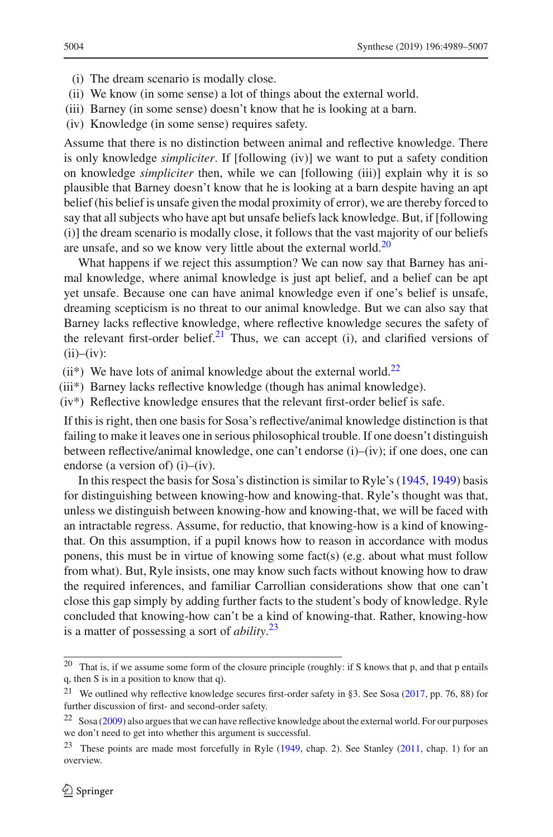- (i) The dream scenario is modally close.
- (ii) We know (in some sense) a lot of things about the external world.
- (iii) Barney (in some sense) doesn't know that he is looking at a barn.
- (iv) Knowledge (in some sense) requires safety.

Assume that there is no distinction between animal and reflective knowledge. There is only knowledge *simpliciter*. If [following (iv)] we want to put a safety condition on knowledge *simpliciter* then, while we can [following (iii)] explain why it is so plausible that Barney doesn't know that he is looking at a barn despite having an apt belief (his belief is unsafe given the modal proximity of error), we are thereby forced to say that all subjects who have apt but unsafe beliefs lack knowledge. But, if [following (i)] the dream scenario is modally close, it follows that the vast majority of our beliefs are unsafe, and so we know very little about the external world.<sup>20</sup>

What happens if we reject this assumption? We can now say that Barney has animal knowledge, where animal knowledge is just apt belief, and a belief can be apt yet unsafe. Because one can have animal knowledge even if one's belief is unsafe, dreaming scepticism is no threat to our animal knowledge. But we can also say that Barney lacks reflective knowledge, where reflective knowledge secures the safety of the relevant first-order belief. $2<sup>1</sup>$  Thus, we can accept (i), and clarified versions of  $(ii)$ – $(iv)$ :

- (ii\*) We have lots of animal knowledge about the external world.<sup>[22](#page-15-2)</sup>
- (iii\*) Barney lacks reflective knowledge (though has animal knowledge).
- (iv\*) Reflective knowledge ensures that the relevant first-order belief is safe.

If this is right, then one basis for Sosa's reflective/animal knowledge distinction is that failing to make it leaves one in serious philosophical trouble. If one doesn't distinguish between reflective/animal knowledge, one can't endorse (i)–(iv); if one does, one can endorse (a version of) (i)–(iv).

In this respect the basis for Sosa's distinction is similar to Ryle's [\(1945](#page-17-38), [1949\)](#page-17-39) basis for distinguishing between knowing-how and knowing-that. Ryle's thought was that, unless we distinguish between knowing-how and knowing-that, we will be faced with an intractable regress. Assume, for reductio, that knowing-how is a kind of knowingthat. On this assumption, if a pupil knows how to reason in accordance with modus ponens, this must be in virtue of knowing some fact(s) (e.g. about what must follow from what). But, Ryle insists, one may know such facts without knowing how to draw the required inferences, and familiar Carrollian considerations show that one can't close this gap simply by adding further facts to the student's body of knowledge. Ryle concluded that knowing-how can't be a kind of knowing-that. Rather, knowing-how is a matter of possessing a sort of *ability*. [23](#page-15-3)

<span id="page-15-0"></span><sup>&</sup>lt;sup>20</sup> That is, if we assume some form of the closure principle (roughly: if S knows that p, and that p entails q, then S is in a position to know that q).

<span id="page-15-1"></span><sup>&</sup>lt;sup>21</sup> We outlined why reflective knowledge secures first-order safety in §3. See Sosa [\(2017,](#page-17-6) pp. 76, 88) for further discussion of first- and second-order safety.

<span id="page-15-2"></span><sup>&</sup>lt;sup>22</sup> Sos[a](#page-17-2) [\(2009](#page-17-2)) also argues that we can have reflective knowledge about the external world. For our purposes we don't need to get into whether this argument is successful.

<span id="page-15-3"></span><sup>&</sup>lt;sup>23</sup> These points are made most forcefully in Ryle [\(1949,](#page-17-39) chap. 2). See Stanley [\(2011](#page-17-40), chap. 1) for an overview.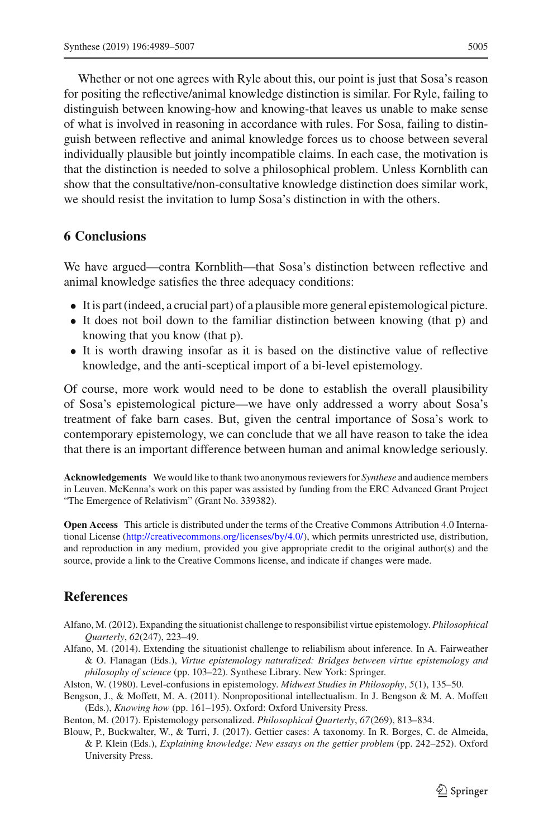Whether or not one agrees with Ryle about this, our point is just that Sosa's reason for positing the reflective/animal knowledge distinction is similar. For Ryle, failing to distinguish between knowing-how and knowing-that leaves us unable to make sense of what is involved in reasoning in accordance with rules. For Sosa, failing to distinguish between reflective and animal knowledge forces us to choose between several individually plausible but jointly incompatible claims. In each case, the motivation is that the distinction is needed to solve a philosophical problem. Unless Kornblith can show that the consultative/non-consultative knowledge distinction does similar work, we should resist the invitation to lump Sosa's distinction in with the others.

### **6 Conclusions**

We have argued—contra Kornblith—that Sosa's distinction between reflective and animal knowledge satisfies the three adequacy conditions:

- It is part (indeed, a crucial part) of a plausible more general epistemological picture.
- It does not boil down to the familiar distinction between knowing (that p) and knowing that you know (that p).
- It is worth drawing insofar as it is based on the distinctive value of reflective knowledge, and the anti-sceptical import of a bi-level epistemology.

Of course, more work would need to be done to establish the overall plausibility of Sosa's epistemological picture—we have only addressed a worry about Sosa's treatment of fake barn cases. But, given the central importance of Sosa's work to contemporary epistemology, we can conclude that we all have reason to take the idea that there is an important difference between human and animal knowledge seriously.

**Acknowledgements** We would like to thank two anonymous reviewers for *Synthese* and audience members in Leuven. McKenna's work on this paper was assisted by funding from the ERC Advanced Grant Project "The Emergence of Relativism" (Grant No. 339382).

**Open Access** This article is distributed under the terms of the Creative Commons Attribution 4.0 International License [\(http://creativecommons.org/licenses/by/4.0/\)](http://creativecommons.org/licenses/by/4.0/), which permits unrestricted use, distribution, and reproduction in any medium, provided you give appropriate credit to the original author(s) and the source, provide a link to the Creative Commons license, and indicate if changes were made.

### **References**

- <span id="page-16-4"></span>Alfano, M. (2012). Expanding the situationist challenge to responsibilist virtue epistemology. *Philosophical Quarterly*, *62*(247), 223–49.
- <span id="page-16-5"></span>Alfano, M. (2014). Extending the situationist challenge to reliabilism about inference. In A. Fairweather & O. Flanagan (Eds.), *Virtue epistemology naturalized: Bridges between virtue epistemology and philosophy of science* (pp. 103–22). Synthese Library. New York: Springer.

<span id="page-16-0"></span>Alston, W. (1980). Level-confusions in epistemology. *Midwest Studies in Philosophy*, *5*(1), 135–50.

<span id="page-16-2"></span>Bengson, J., & Moffett, M. A. (2011). Nonpropositional intellectualism. In J. Bengson & M. A. Moffett (Eds.), *Knowing how* (pp. 161–195). Oxford: Oxford University Press.

<span id="page-16-3"></span>Benton, M. (2017). Epistemology personalized. *Philosophical Quarterly*, *67*(269), 813–834.

<span id="page-16-1"></span>Blouw, P., Buckwalter, W., & Turri, J. (2017). Gettier cases: A taxonomy. In R. Borges, C. de Almeida, & P. Klein (Eds.), *Explaining knowledge: New essays on the gettier problem* (pp. 242–252). Oxford University Press.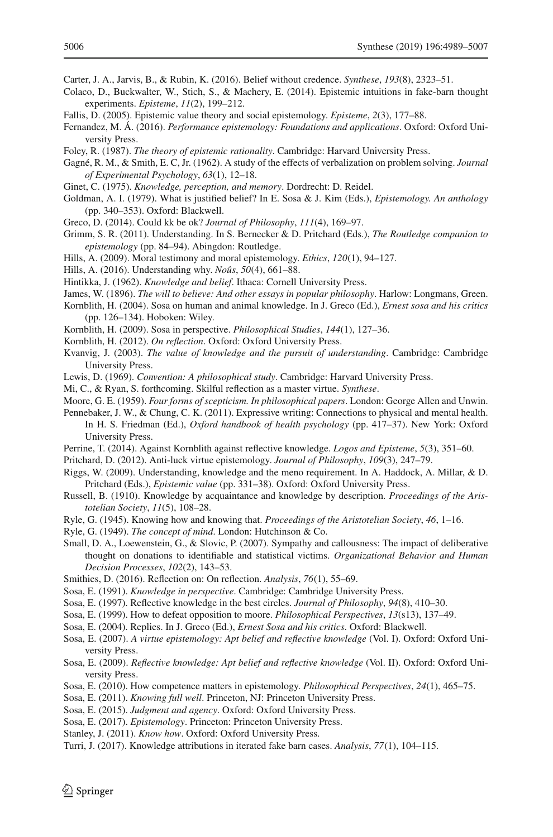<span id="page-17-33"></span>Carter, J. A., Jarvis, B., & Rubin, K. (2016). Belief without credence. *Synthese*, *193*(8), 2323–51.

- <span id="page-17-15"></span>Colaco, D., Buckwalter, W., Stich, S., & Machery, E. (2014). Epistemic intuitions in fake-barn thought experiments. *Episteme*, *11*(2), 199–212.
- <span id="page-17-34"></span>Fallis, D. (2005). Epistemic value theory and social epistemology. *Episteme*, *2*(3), 177–88.
- <span id="page-17-11"></span>Fernandez, M. Á. (2016). *Performance epistemology: Foundations and applications*. Oxford: Oxford University Press.
- <span id="page-17-35"></span>Foley, R. (1987). *The theory of epistemic rationality*. Cambridge: Harvard University Press.
- <span id="page-17-24"></span>Gagné, R. M., & Smith, E. C, Jr. (1962). A study of the effects of verbalization on problem solving. *Journal of Experimental Psychology*, *63*(1), 12–18.
- <span id="page-17-18"></span>Ginet, C. (1975). *Knowledge, perception, and memory*. Dordrecht: D. Reidel.
- <span id="page-17-19"></span>Goldman, A. I. (1979). What is justified belief? In E. Sosa & J. Kim (Eds.), *Epistemology. An anthology* (pp. 340–353). Oxford: Blackwell.
- <span id="page-17-12"></span>Greco, D. (2014). Could kk be ok? *Journal of Philosophy*, *111*(4), 169–97.
- <span id="page-17-28"></span>Grimm, S. R. (2011). Understanding. In S. Bernecker & D. Pritchard (Eds.), *The Routledge companion to epistemology* (pp. 84–94). Abingdon: Routledge.
- <span id="page-17-29"></span>Hills, A. (2009). Moral testimony and moral epistemology. *Ethics*, *120*(1), 94–127.
- <span id="page-17-30"></span>Hills, A. (2016). Understanding why. *Noûs*, *50*(4), 661–88.
- <span id="page-17-13"></span>Hintikka, J. (1962). *Knowledge and belief*. Ithaca: Cornell University Press.
- <span id="page-17-32"></span>James, W. (1896). *The will to believe: And other essays in popular philosophy*. Harlow: Longmans, Green.
- <span id="page-17-7"></span>Kornblith, H. (2004). Sosa on human and animal knowledge. In J. Greco (Ed.), *Ernest sosa and his critics* (pp. 126–134). Hoboken: Wiley.
- <span id="page-17-8"></span>Kornblith, H. (2009). Sosa in perspective. *Philosophical Studies*, *144*(1), 127–36.
- <span id="page-17-9"></span>Kornblith, H. (2012). *On reflection*. Oxford: Oxford University Press.
- <span id="page-17-27"></span>Kvanvig, J. (2003). *The value of knowledge and the pursuit of understanding*. Cambridge: Cambridge University Press.
- <span id="page-17-14"></span>Lewis, D. (1969). *Convention: A philosophical study*. Cambridge: Harvard University Press.
- Mi, C., & Ryan, S. forthcoming. Skilful reflection as a master virtue. *Synthese*.
- <span id="page-17-22"></span>Moore, G. E. (1959). *Four forms of scepticism. In philosophical papers*. London: George Allen and Unwin.
- <span id="page-17-26"></span>Pennebaker, J. W., & Chung, C. K. (2011). Expressive writing: Connections to physical and mental health. In H. S. Friedman (Ed.), *Oxford handbook of health psychology* (pp. 417–37). New York: Oxford University Press.
- <span id="page-17-21"></span>Perrine, T. (2014). Against Kornblith against reflective knowledge. *Logos and Episteme*, *5*(3), 351–60.
- <span id="page-17-17"></span>Pritchard, D. (2012). Anti-luck virtue epistemology. *Journal of Philosophy*, *109*(3), 247–79.
- <span id="page-17-31"></span>Riggs, W. (2009). Understanding, knowledge and the meno requirement. In A. Haddock, A. Millar, & D. Pritchard (Eds.), *Epistemic value* (pp. 331–38). Oxford: Oxford University Press.
- <span id="page-17-20"></span>Russell, B. (1910). Knowledge by acquaintance and knowledge by description. *Proceedings of the Aristotelian Society*, *11*(5), 108–28.
- <span id="page-17-38"></span>Ryle, G. (1945). Knowing how and knowing that. *Proceedings of the Aristotelian Society*, *46*, 1–16.
- <span id="page-17-39"></span>Ryle, G. (1949). *The concept of mind*. London: Hutchinson & Co.
- <span id="page-17-25"></span>Small, D. A., Loewenstein, G., & Slovic, P. (2007). Sympathy and callousness: The impact of deliberative thought on donations to identifiable and statistical victims. *Organizational Behavior and Human Decision Processes*, *102*(2), 143–53.
- <span id="page-17-23"></span>Smithies, D. (2016). Reflection on: On reflection. *Analysis*, *76*(1), 55–69.
- <span id="page-17-0"></span>Sosa, E. (1991). *Knowledge in perspective*. Cambridge: Cambridge University Press.
- <span id="page-17-10"></span>Sosa, E. (1997). Reflective knowledge in the best circles. *Journal of Philosophy*, *94*(8), 410–30.
- <span id="page-17-37"></span>Sosa, E. (1999). How to defeat opposition to moore. *Philosophical Perspectives*, *13*(s13), 137–49.
- <span id="page-17-36"></span>Sosa, E. (2004). Replies. In J. Greco (Ed.), *Ernest Sosa and his critics*. Oxford: Blackwell.
- <span id="page-17-1"></span>Sosa, E. (2007). *A virtue epistemology: Apt belief and reflective knowledge* (Vol. I). Oxford: Oxford University Press.
- <span id="page-17-2"></span>Sosa, E. (2009). *Reflective knowledge: Apt belief and reflective knowledge* (Vol. II). Oxford: Oxford University Press.
- <span id="page-17-3"></span>Sosa, E. (2010). How competence matters in epistemology. *Philosophical Perspectives*, *24*(1), 465–75.
- <span id="page-17-4"></span>Sosa, E. (2011). *Knowing full well*. Princeton, NJ: Princeton University Press.
- <span id="page-17-5"></span>Sosa, E. (2015). *Judgment and agency*. Oxford: Oxford University Press.
- <span id="page-17-6"></span>Sosa, E. (2017). *Epistemology*. Princeton: Princeton University Press.
- <span id="page-17-40"></span>Stanley, J. (2011). *Know how*. Oxford: Oxford University Press.
- <span id="page-17-16"></span>Turri, J. (2017). Knowledge attributions in iterated fake barn cases. *Analysis*, *77*(1), 104–115.